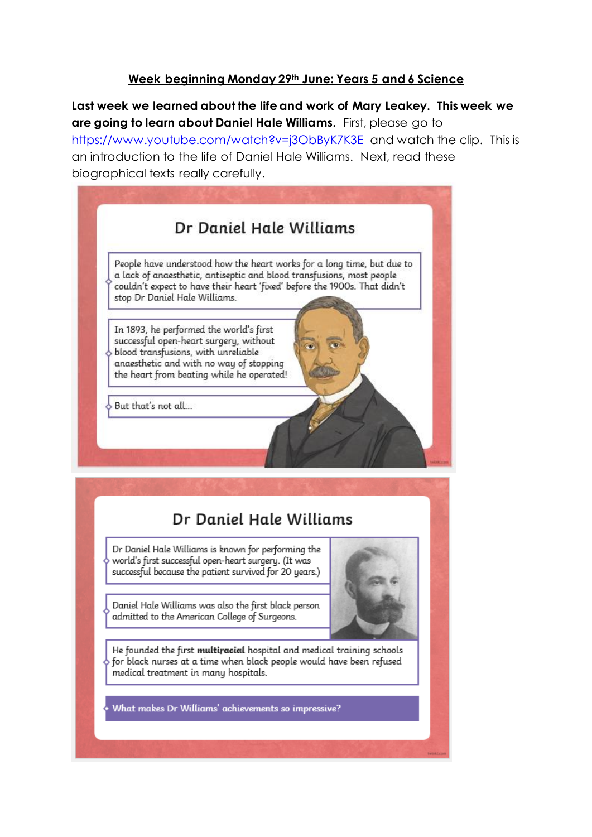## **Week beginning Monday 29th June: Years 5 and 6 Science**

**Last week we learned about the life and work of Mary Leakey. This week we are going to learn about Daniel Hale Williams.** First, please go to <https://www.youtube.com/watch?v=j3ObByK7K3E> and watch the clip. This is an introduction to the life of Daniel Hale Williams. Next, read these biographical texts really carefully.



Dr Daniel Hale Williams is known for performing the world's first successful open-heart surgery. (It was successful because the patient survived for 20 years.)

Daniel Hale Williams was also the first black person admitted to the American College of Surgeons.

He founded the first multiracial hospital and medical training schools for black nurses at a time when black people would have been refused medical treatment in many hospitals.

What makes Dr Williams' achievements so impressive?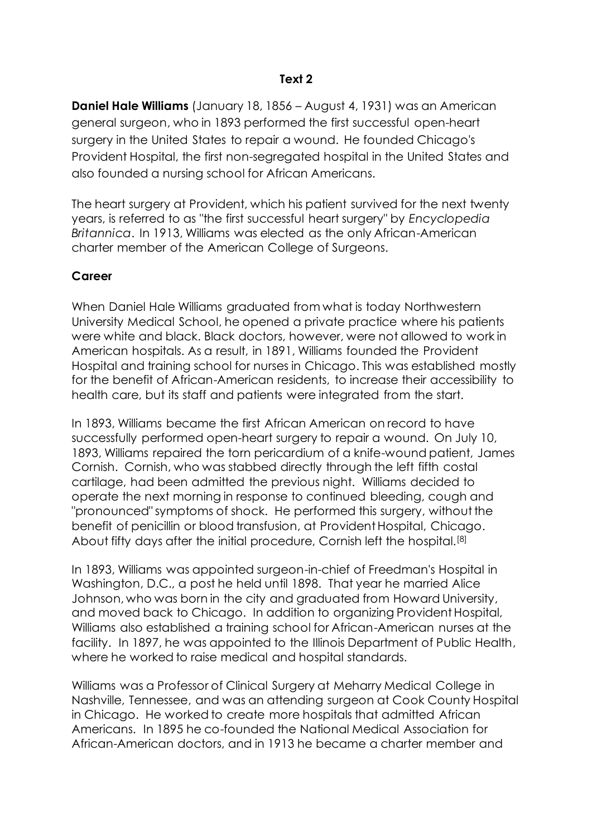## **Text 2**

**Daniel Hale Williams** (January 18, 1856 – August 4, 1931) was an American [general surgeon,](https://en.wikipedia.org/wiki/General_surgery) who in 1893 performed the first successful open-heart surgery in the United States to repair a wound. He founded Chicago's [Provident Hospital,](https://en.wikipedia.org/wiki/Provident_Hospital_(Chicago)) the first non-segregated hospital in the United States and also founded a nursing school for African Americans.

The heart surgery at Provident, which his patient survived for the next twenty years, is referred to as "the first successful heart surgery" by *[Encyclopedia](https://en.wikipedia.org/wiki/Encyclopedia_Britannica)  [Britannica](https://en.wikipedia.org/wiki/Encyclopedia_Britannica)*. In 1913, Williams was elected as the only African-American charter member of the [American College of Surgeons.](https://en.wikipedia.org/wiki/American_College_of_Surgeons)

#### **Career**

When Daniel Hale Williams graduated from what is today [Northwestern](https://en.wikipedia.org/wiki/Northwestern_University_Medical_School)  [University Medical School,](https://en.wikipedia.org/wiki/Northwestern_University_Medical_School) he opened a private practice where his patients were white and black. Black doctors, however, were not allowed to work in American hospitals. As a result, in 1891, Williams founded the [Provident](https://en.wikipedia.org/wiki/Provident_Hospital_(Chicago))  [Hospital](https://en.wikipedia.org/wiki/Provident_Hospital_(Chicago)) and training school for nurses in Chicago. This was established mostly for the benefit of African-American residents, to increase their accessibility to health care, but its staff and patients were integrated from the start.

In 1893, Williams became the first African American on record to have successfully performed open-heart surgery to repair a wound. On July 10, 1893, Williams repaired the torn pericardium of a knife-wound patient, James Cornish. Cornish, who was stabbed directly through the left fifth [costal](https://en.wikipedia.org/wiki/Costal_cartilage)  [cartilage,](https://en.wikipedia.org/wiki/Costal_cartilage) had been admitted the previous night. Williams decided to operate the next morning in response to continued bleeding, cough and "pronounced" symptoms of shock. He performed this surgery, without the benefit of penicillin or blood transfusion, at [Provident Hospital,](https://en.wikipedia.org/wiki/Provident_Hospital_(Chicago)) Chicago. About fifty days after the initial procedure, Cornish left the hospital.<sup>[\[8\]](https://en.wikipedia.org/wiki/Daniel_Hale_Williams#cite_note-blackinventormuseum-8)</sup>

In 1893, Williams was appointed surgeon-in-chief of [Freedman's Hospital](https://en.wikipedia.org/wiki/Freedman%27s_Hospital) in [Washington, D.C.,](https://en.wikipedia.org/wiki/Washington,_D.C.) a post he held until 1898. That year he married Alice Johnson, who was born in the city and graduated from [Howard University,](https://en.wikipedia.org/wiki/Howard_University) and moved back to Chicago. In addition to organizing Provident Hospital, Williams also established a training school for African-American nurses at the facility. In 1897, he was appointed to the [Illinois Department of Public Health,](https://en.wikipedia.org/wiki/Illinois_Department_of_Public_Health) where he worked to raise medical and hospital standards.

Williams was a Professor of Clinical Surgery at [Meharry Medical College](https://en.wikipedia.org/wiki/Meharry_Medical_College) in [Nashville, Tennessee,](https://en.wikipedia.org/wiki/Nashville,_Tennessee) and was an attending surgeon at [Cook County Hospital](https://en.wikipedia.org/wiki/Cook_County_Hospital) in Chicago. He worked to create more hospitals that admitted African Americans. In 1895 he co-founded the [National Medical Association](https://en.wikipedia.org/wiki/National_Medical_Association) for African-American doctors, and in 1913 he became a charter member and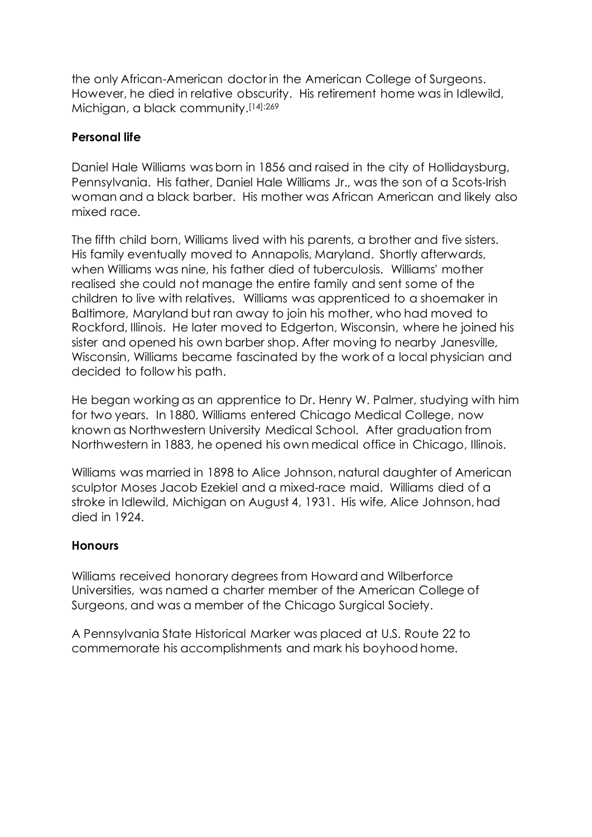the only African-American doctor in the [American College of Surgeons.](https://en.wikipedia.org/wiki/American_College_of_Surgeons) However, he died in relative obscurity. His retirement home was in [Idlewild,](https://en.wikipedia.org/wiki/Idlewild,_Michigan)  [Michigan,](https://en.wikipedia.org/wiki/Idlewild,_Michigan) a black community.[\[14\]:](https://en.wikipedia.org/wiki/Daniel_Hale_Williams#cite_note-Dan-14)269

## **Personal life**

Daniel Hale Williams was born in 1856 and raised in the city of [Hollidaysburg,](https://en.wikipedia.org/wiki/Hollidaysburg,_Pennsylvania)  [Pennsylvania.](https://en.wikipedia.org/wiki/Hollidaysburg,_Pennsylvania) His father, Daniel Hale Williams Jr., was the son of a [Scots-Irish](https://en.wikipedia.org/wiki/Scotch-Irish_Americans) woman and a black barber. His mother was African American and likely also mixed race.

The fifth child born, Williams lived with his parents, a brother and five sisters. His family eventually moved to [Annapolis, Maryland.](https://en.wikipedia.org/wiki/Annapolis,_Maryland) Shortly afterwards, when Williams was nine, his father died of tuberculosis. Williams' mother realised she could not manage the entire family and sent some of the children to live with relatives. Williams was apprenticed to a shoemaker in [Baltimore, Maryland](https://en.wikipedia.org/wiki/Baltimore,_Maryland) but ran away to join his mother, who had moved to [Rockford, Illinois.](https://en.wikipedia.org/wiki/Rockford,_Illinois) He later moved to [Edgerton, Wisconsin,](https://en.wikipedia.org/wiki/Edgerton,_Wisconsin) where he joined his sister and opened his own barber shop. After moving to nearby [Janesville,](https://en.wikipedia.org/wiki/Janesville,_Wisconsin)  [Wisconsin,](https://en.wikipedia.org/wiki/Janesville,_Wisconsin) Williams became fascinated by the work of a local physician and decided to follow his path.

He began working as an apprentice to Dr. Henry W. Palmer, studying with him for two years. In 1880, Williams entered [Chicago Medical College,](https://en.wikipedia.org/wiki/Chicago_Medical_College) now known as Northwestern University Medical School. After graduation from Northwestern in 1883, he opened his own medical office in [Chicago, Illinois.](https://en.wikipedia.org/wiki/Chicago,_Illinois)

Williams was married in 1898 to Alice Johnson, natural daughter of American sculptor [Moses Jacob Ezekiel](https://en.wikipedia.org/wiki/Moses_Jacob_Ezekiel) and a mixed-race maid. Williams died of a stroke in [Idlewild, Michigan](https://en.wikipedia.org/wiki/Idlewild,_Michigan) on August 4, 1931. His wife, Alice Johnson, had died in 1924.

## **Honours**

Williams received honorary degrees from [Howard](https://en.wikipedia.org/wiki/Howard_University) and [Wilberforce](https://en.wikipedia.org/wiki/Wilberforce_University) Universities, was named a charter member of the American College of Surgeons, and was a member of the Chicago Surgical Society.

A [Pennsylvania State Historical Marker](https://en.wikipedia.org/wiki/List_of_Pennsylvania_state_historical_markers) was placed at [U.S. Route 22](https://en.wikipedia.org/wiki/U.S._Route_22) to commemorate his accomplishments and mark his boyhood home.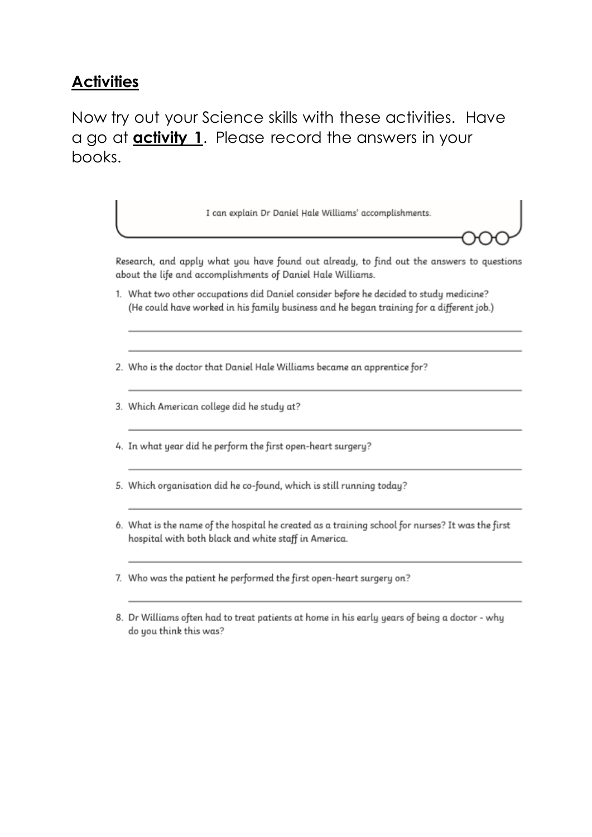## **Activities**

# Now try out your Science skills with these activities. Have a go at **activity 1.** Please record the answers in your books.

I can explain Dr Daniel Hale Williams' accomplishments.

Research, and apply what you have found out already, to find out the answers to questions about the life and accomplishments of Daniel Hale Williams.

- 1. What two other occupations did Daniel consider before he decided to study medicine? (He could have worked in his family business and he began training for a different job.)
- 2. Who is the doctor that Daniel Hale Williams became an apprentice for?
- 3. Which American college did he study at?
- 4. In what year did he perform the first open-heart surgery?
- 5. Which organisation did he co-found, which is still running today?
- 6. What is the name of the hospital he created as a training school for nurses? It was the first hospital with both black and white staff in America.
- 7. Who was the patient he performed the first open-heart surgery on?
- 8. Dr Williams often had to treat patients at home in his early years of being a doctor why do you think this was?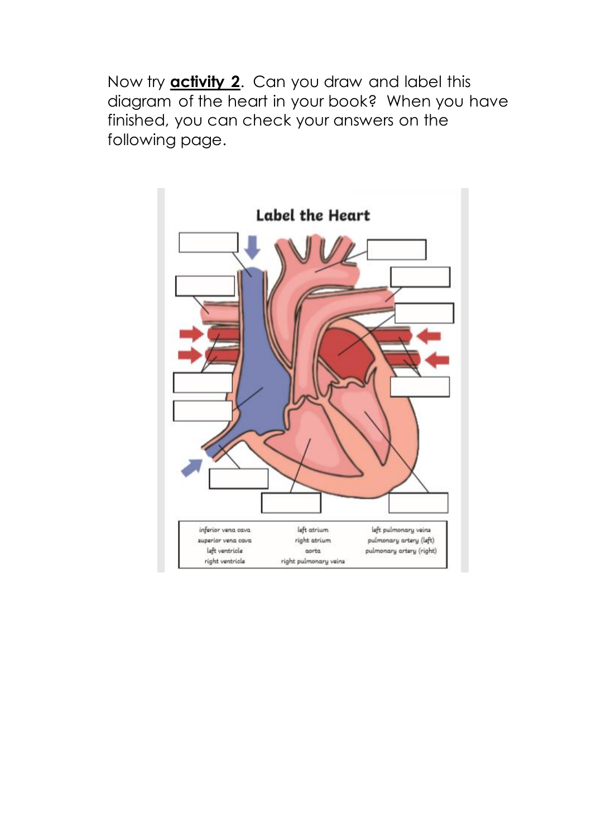Now try **activity 2**. Can you draw and label this diagram of the heart in your book? When you have finished, you can check your answers on the following page.